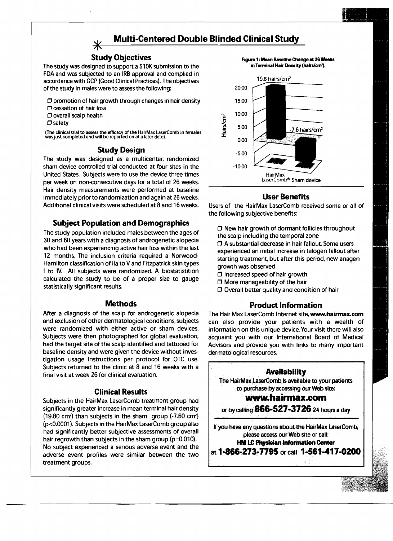# **Multi-Centered Double Blinded Clinical Study**

# Study Objectives

The study was designed to support a 510K submission to the FDA and was subjected to an IRB approval and complied in accordance with GCP (Good Clinical Practices). The objectives of the study in males were to assess the following:

 $\Box$  promotion of hair growth through changes in hair density

- $\square$  cessation of hair loss
- O overall scalp health
- $\square$  safety

(The clinical trial to assess the efficacy of the HairMax LaserComb in females wasjust completed and will be reported on at <sup>a</sup> later date).

# Study Design

The study was designed as a multicenter, randomized sham-device controlled trial conducted at four sites in the United States. Subjects were to use the device three times per week on non-consecutive days for a total of 26 weeks. Hair density measurements were performed at baseline immediately prior to randomization and again at 26 weeks. Additional clinical visits were scheduled at 8 and 16 weeks.

# Subject Population and Demographics

The study population included males between the ages of 30 and 60 years with a diagnosis of androgenetic alopecia who had been experiencing active hair loss within the last 12 months. The inclusion criteria required a Norwood-Hamilton classification of lIa to V and Fitzpatrick skin types I to IV. All subjects were randomized. A biostatistition calculated the study to be of a proper size to gauge statistically significant results.

# **Methods**

After a diagnosis of the scalp for androgenetic alopecia and exclusion of other dermatological conditions, subjects were randomized with either active or sham devices. Subjects were then photographed for global evaluation, had the target site of the scalp identified and tattooed for baseline density and were given the device without investigation usage instructions per protocol for OTC use. Subjects returned to the clinic at 8 and 16 weeks with a final visit at week 26 for clinical evaluation.

# Clinical Results

Subjects in the HairMax LaserComb treatment group had significantly greater increase in mean terminal hair density  $(19.80 \text{ cm}^2)$  than subjects in the sham group  $(-7.60 \text{ cm}^2)$ (p<0.0001). Subjects in the HairMax LaserComb group also had significantly better subjective assessments of overall hair regrowth than subjects in the sham group (p=0.010). No subject experienced a serious adverse event and the adverse event profiles were similar between the two treatment groups.

Figure 1: Mean Baseline Change at 26 Weeks in Terminal Hair Density (hairs/ern').



# User Benefits

Users of the HairMax LaserComb received some or all of the following SUbjective benefits:

- $\Box$  New hair growth of dormant follicles throughout the scalp including the temporal zone
- $\Box$  A substantial decrease in hair fallout. Some users experienced an initial increase in telogen fallout after starting treatment, but after this period, new anagen growth was observed
- $\square$  Increased speed of hair growth
- $\square$  More manageability of the hair
- $\Box$  Overall better quality and condition of hair

# Product Information

The Hair Max LaserComb Internet site, www.hairmax.com can also provide your patients with a wealth of information on this unique device. Your visit there will also acquaint you with our International Board of Medical Advisors and provide you with links to many important dermatological resources.

# Availability

The HairMax LaserComb is available to your patients to purchase by accessing our Web site:

# www.hairmax.com

or by calling  $866 - 527 - 3726$  24 hours a day

If you have any questions about the HairMax LaserComb, please access our Web site or call: HM LC Physician Information Center

at 1-866-273-7795 or call 1-561-417-0200